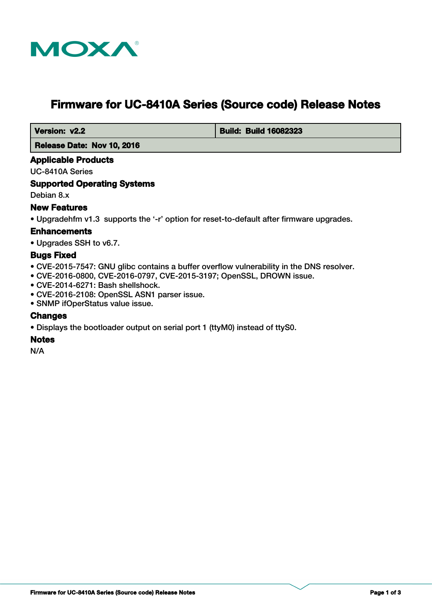

# **Firmware for UC-8410A Series (Source code) Release Notes**

 **Version: v2.2 Build: Build: Build 16082323** 

 **Release Date: Nov 10, 2016**

## **Applicable Products**

UC-8410A Series

## **Supported Operating Systems**

Debian 8.x

# **New Features**

• Upgradehfm v1.3 supports the '-r' option for reset-to-default after firmware upgrades.

# **Enhancements**

• Upgrades SSH to v6.7.

## **Bugs Fixed**

- CVE-2015-7547: GNU glibc contains a buffer overflow vulnerability in the DNS resolver.
- CVE-2016-0800, CVE-2016-0797, CVE-2015-3197; OpenSSL, DROWN issue.
- CVE-2014-6271: Bash shellshock.
- CVE-2016-2108: OpenSSL ASN1 parser issue.
- SNMP ifOperStatus value issue.

#### **Changes**

• Displays the bootloader output on serial port 1 (ttyM0) instead of ttyS0.

#### **Notes**

N/A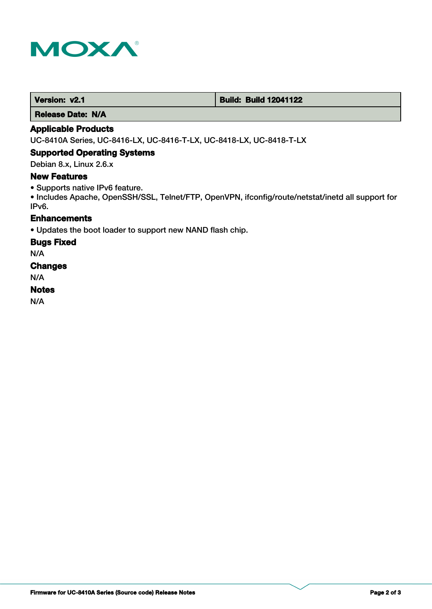

 **Version: v2.1 Build: Build: Build 12041122** 

 **Release Date: N/A**

## **Applicable Products**

UC-8410A Series, UC-8416-LX, UC-8416-T-LX, UC-8418-LX, UC-8418-T-LX

#### **Supported Operating Systems**

Debian 8.x, Linux 2.6.x

## **New Features**

• Supports native IPv6 feature.

• Includes Apache, OpenSSH/SSL, Telnet/FTP, OpenVPN, ifconfig/route/netstat/inetd all support for IPv6.

# **Enhancements**

• Updates the boot loader to support new NAND flash chip.

#### **Bugs Fixed**

N/A

## **Changes**

N/A

## **Notes**

N/A